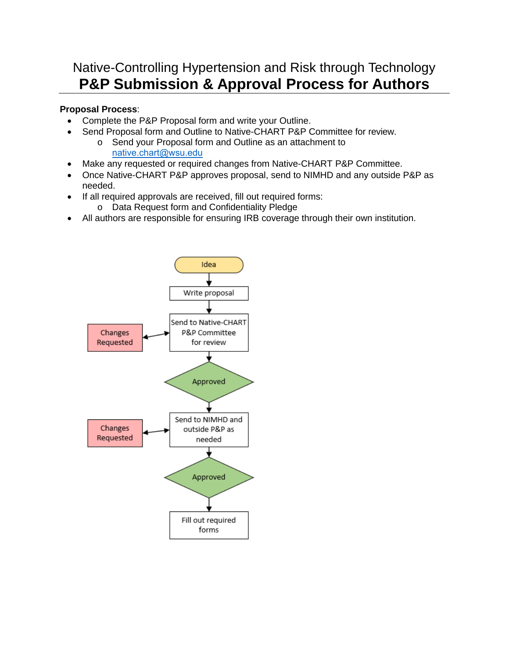## Native-Controlling Hypertension and Risk through Technology **P&P Submission & Approval Process for Authors**

## **Proposal Process**:

- Complete the P&P Proposal form and write your Outline.
- Send Proposal form and Outline to Native-CHART P&P Committee for review.
	- o Send your Proposal form and Outline as an attachment to [native.chart@wsu.edu](mailto:native.chart@wsu.edu)
- Make any requested or required changes from Native-CHART P&P Committee.
- Once Native-CHART P&P approves proposal, send to NIMHD and any outside P&P as needed.
- If all required approvals are received, fill out required forms:
	- o Data Request form and Confidentiality Pledge
- All authors are responsible for ensuring IRB coverage through their own institution.